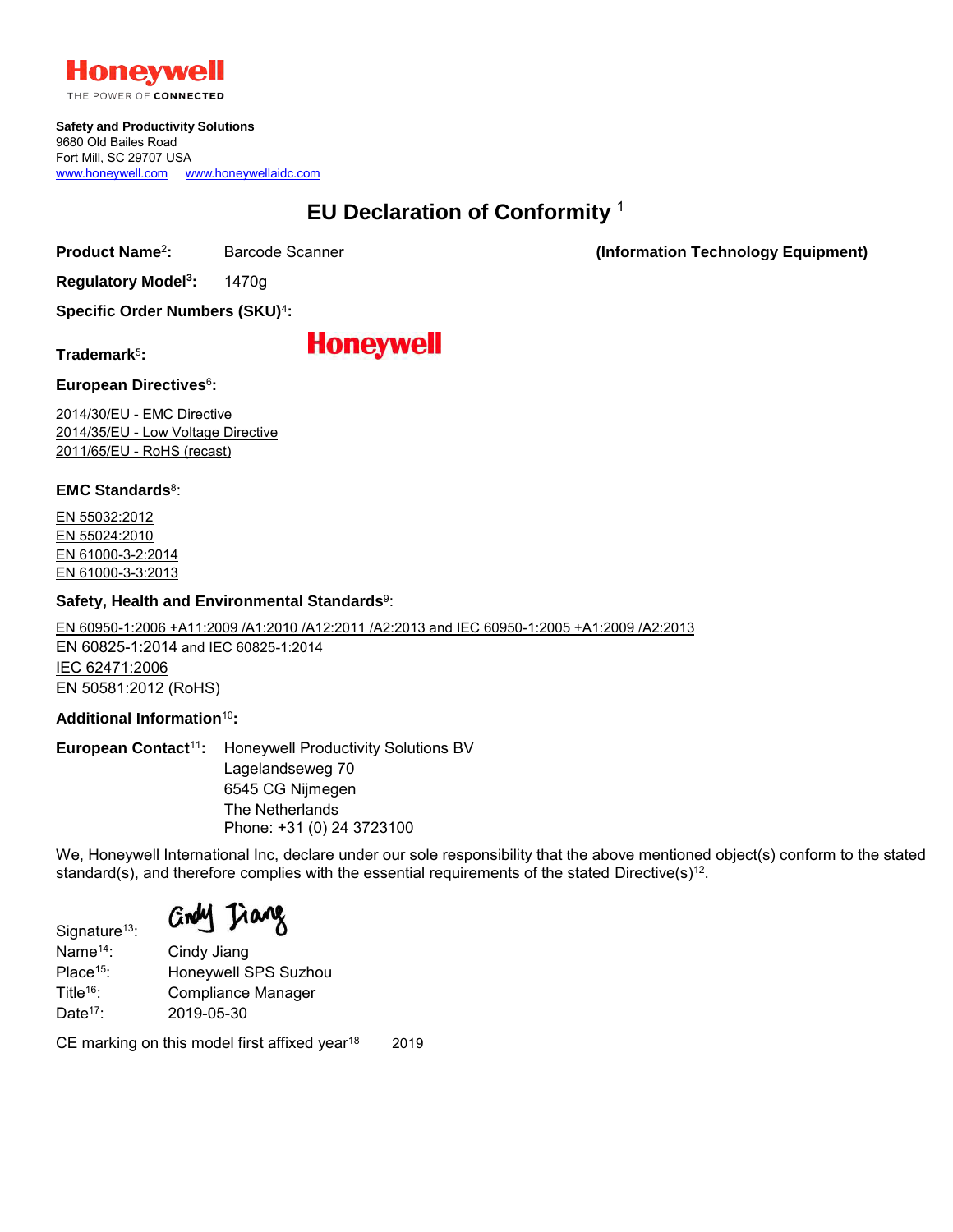

THE POWER OF CONNECTED

**Safety and Productivity Solutions** 9680 Old Bailes Road Fort Mill, SC 29707 USA [www.honeywell.com](http://www.honeywell.com/) [www.honeywellaidc.com](http://www.honeywellaidc.com/)

## **EU Declaration of Conformity** <sup>1</sup>

**Product Name**<sup>2</sup>

**:** Barcode Scanner **(Information Technology Equipment)**

**Regulatory Model<sup>3</sup> :** 1470g

**Specific Order Numbers (SKU)**<sup>4</sup> **:**

**Trademark**<sup>5</sup> **:**

## **Honeywell**

**European Directives**<sup>6</sup> **:**

2014/30/EU - EMC Directive 2014/35/EU - Low Voltage Directive 2011/65/EU - RoHS (recast)

**EMC Standards**<sup>8</sup> :

EN 55032:2012 EN 55024:2010 EN 61000-3-2:2014 EN 61000-3-3:2013

## **Safety, Health and Environmental Standards**<sup>9</sup> :

EN 60950-1:2006 +A11:2009 /A1:2010 /A12:2011 /A2:2013 and IEC 60950-1:2005 +A1:2009 /A2:2013

EN 60825-1:2014 and IEC 60825-1:2014 IEC 62471:2006 EN 50581:2012 (RoHS)

**Additional Information**10**:**

**European Contact**11**:** Honeywell Productivity Solutions BV Lagelandseweg 70 6545 CG Nijmegen The Netherlands Phone: +31 (0) 24 3723100

We, Honeywell International Inc, declare under our sole responsibility that the above mentioned object(s) conform to the stated standard(s), and therefore complies with the essential requirements of the stated Directive(s) $^{\rm 12}.$ 

Grou Tiang

Signature<sup>13</sup>: Name<sup>14</sup>: Cindy Jiang Place<sup>15</sup>: Honeywell SPS Suzhou Title<sup>16</sup>: Compliance Manager Date<sup>17</sup>: 2019-05-30

CE marking on this model first affixed year $18$  2019